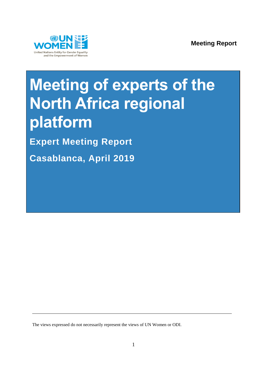

# **Meeting of experts of the North Africa regional platform**

**Expert Meeting Report** 

**Casablanca, April 2019**

The views expressed do not necessarily represent the views of UN Women or ODI.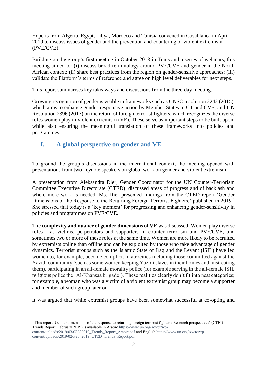Experts from Algeria, Egypt, Libya, Morocco and Tunisia convened in Casablanca in April 2019 to discuss issues of gender and the prevention and countering of violent extremism (PVE/CVE).

Building on the group's first meeting in October 2018 in Tunis and a series of webinars, this meeting aimed to: (i) discuss broad terminology around PVE/CVE and gender in the North African context; (ii) share best practices from the region on gender-sensitive approaches; (iii) validate the Platform's terms of reference and agree on high level deliverables for next steps.

This report summarises key takeaways and discussions from the three-day meeting.

Growing recognition of gender is visible in frameworks such as UNSC resolution 2242 (2015), which aims to enhance gender-responsive action by Member-States in CT and CVE, and UN Resolution 2396 (2017) on the return of foreign terrorist fighters, which recognizes the diverse roles women play in violent extremism (VE). These serve as important steps to be built upon, while also ensuring the meaningful translation of these frameworks into policies and programmes.

# **I. A global perspective on gender and VE**

To ground the group's discussions in the international context, the meeting opened with presentations from two keynote speakers on global work on gender and violent extremism.

A presentation from Aleksandra Dier, Gender Coordinator for the UN Counter-Terrorism Committee Executive Directorate (CTED), discussed areas of progress and of backlash and where more work is needed. Ms. Dier presented findings from the CTED report 'Gender Dimensions of the Response to the Returning Foreign Terrorist Fighters,' published in 2019.<sup>1</sup> She stressed that today is a 'key moment' for progressing and enhancing gender-sensitivity in policies and programmes on PVE/CVE.

The **complexity and nuance of gender dimensions of VE** was discussed. Women play diverse roles - as victims, perpetrators and supporters in counter terrorism and PVE/CVE, and sometimes two or more of these roles at the same time. Women are more likely to be recruited by extremists online than offline and can be exploited by those who take advantage of gender dynamics. Terrorist groups such as the Islamic State of Iraq and the Levant (ISIL) have led women to, for example, become complicit in atrocities including those committed against the Yazidi community (such as some women keeping Yazidi slaves in their homes and mistreating them), participating in an all-female morality police (for example serving in the all-female ISIL religious police the 'Al-Khansaa brigade'). These realities clearly don't fit into neat categories; for example, a woman who was a victim of a violent extremist group may become a supporter and member of such group later on.

It was argued that while extremist groups have been somewhat successful at co-opting and

1

 $1$  This report 'Gender dimensions of the response to returning foreign terrorist fighters: Research perspectives' (CTED Trends Report, February 2019) is available in Arabic [https://www.un.org/sc/ctc/wp](https://nam01.safelinks.protection.outlook.com/?url=https%3A%2F%2Fwww.un.org%2Fsc%2Fctc%2Fwp-content%2Fuploads%2F2019%2F03%2F03282019_Trends_Report_Arabic.pdf&data=02%7C01%7C%7Cbd30eef02bf24d65eccc08d6ccb26354%7C2bcd07449e18487d85c3c9a325220be8%7C0%7C1%7C636921464174899710&sdata=iSirMJKIkhQXGC3Sr%2FHV9FdGualRrQhhEj74TgBFjNU%3D&reserved=0)[content/uploads/2019/03/03282019\\_Trends\\_Report\\_Arabic.pdf](https://nam01.safelinks.protection.outlook.com/?url=https%3A%2F%2Fwww.un.org%2Fsc%2Fctc%2Fwp-content%2Fuploads%2F2019%2F03%2F03282019_Trends_Report_Arabic.pdf&data=02%7C01%7C%7Cbd30eef02bf24d65eccc08d6ccb26354%7C2bcd07449e18487d85c3c9a325220be8%7C0%7C1%7C636921464174899710&sdata=iSirMJKIkhQXGC3Sr%2FHV9FdGualRrQhhEj74TgBFjNU%3D&reserved=0) and Englis[h https://www.un.org/sc/ctc/wp](https://nam01.safelinks.protection.outlook.com/?url=https%3A%2F%2Fwww.un.org%2Fsc%2Fctc%2Fwp-content%2Fuploads%2F2019%2F02%2FFeb_2019_CTED_Trends_Report.pdf&data=02%7C01%7C%7Cbd30eef02bf24d65eccc08d6ccb26354%7C2bcd07449e18487d85c3c9a325220be8%7C0%7C1%7C636921464174909719&sdata=k2FcBGh9KBHPnPZBrFlI%2FoUE6w5uFVzu%2BeWvo7Os8%2FU%3D&reserved=0)[content/uploads/2019/02/Feb\\_2019\\_CTED\\_Trends\\_Report.pdf.](https://nam01.safelinks.protection.outlook.com/?url=https%3A%2F%2Fwww.un.org%2Fsc%2Fctc%2Fwp-content%2Fuploads%2F2019%2F02%2FFeb_2019_CTED_Trends_Report.pdf&data=02%7C01%7C%7Cbd30eef02bf24d65eccc08d6ccb26354%7C2bcd07449e18487d85c3c9a325220be8%7C0%7C1%7C636921464174909719&sdata=k2FcBGh9KBHPnPZBrFlI%2FoUE6w5uFVzu%2BeWvo7Os8%2FU%3D&reserved=0)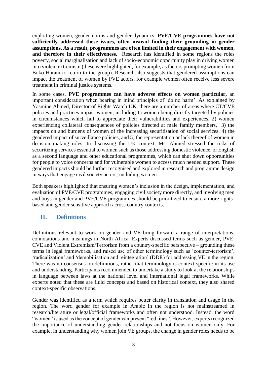exploiting women, gender norms and gender dynamics, **PVE/CVE programmes have not sufficiently addressed these issues, often instead finding their grounding in gender assumptions. As a result, programmes are often limited in their engagement with women, and therefore in their effectiveness.** Research has identified in some regions the roles poverty, social marginalisation and lack of socio-economic opportunity play in driving women into violent extremism (these were highlighted, for example, as factors prompting women from Boko Haram to return to the group). Research also suggests that gendered assumptions can impact the treatment of women by PVE actors, for example women often receive less severe treatment in criminal justice systems.

In some cases, **PVE programmes can have adverse effects on women particular,** an important consideration when bearing in mind principles of 'do no harm'. As explained by Yasmine Ahmed, Director of Rights Watch UK, there are a number of areas where CT/CVE policies and practices impact women, including 1) women being directly targeted by policies in circumstances which fail to appreciate their vulnerabilities and experiences, 2) women experiencing collateral consequences of policies directed at male family members, 3) the impacts on and burdens of women of the increasing securitisation of social services, 4) the gendered impact of surveillance policies, and 5) the representation or lack thereof of women in decision making roles. In discussing the UK context, Ms. Ahmed stressed the risks of securitizing services essential to women such as those addressing domestic violence, or English as a second language and other educational programmes, which can shut down opportunities for people to voice concerns and for vulnerable women to access much needed support. These gendered impacts should be further recognised and explored in research and programme design in ways that engage civil society actors, including women.

Both speakers highlighted that ensuring women's inclusion in the design, implementation, and evaluation of PVE/CVE programmes, engaging civil society more directly, and involving men and boys in gender and PVE/CVE programmes should be prioritized to ensure a more rightsbased and gender sensitive approach across country contexts.

## **II. Definitions**

Definitions relevant to work on gender and VE bring forward a range of interpretations, connotations and meanings in North Africa. Experts discussed terms such as gender, PVE, CVE and Violent Extremism/Terrorism from a country-specific perspective – grounding these terms in legal frameworks, and raised use of other terminology such as 'counter-terrorism', 'radicalization' and 'demobilisation and reintegration' (DDR) for addressing VE in the region. There was no consensus on definitions, rather that terminology is context-specific in its use and understanding. Participants recommended to undertake a study to look at the relationships in language between laws at the national level and international legal frameworks. While experts noted that these are fluid concepts and based on historical context, they also shared context-specific observations.

Gender was identified as a term which requires better clarity in translation and usage in the region. The word gender for example in Arabic in the region is not mainstreamed in research/literature or legal/official frameworks and often not understood. Instead, the word "women" is used as the concept of gender can present "red lines". However, experts recognized the importance of understanding gender relationships and not focus on women only. For example, in understanding why women join VE groups, the change in gender roles needs to be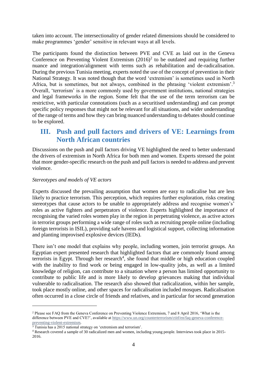taken into account. The intersectionality of gender related dimensions should be considered to make programmes 'gender' sensitive in relevant ways at all levels.

The participants found the distinction between PVE and CVE as laid out in the Geneva Conference on Preventing Violent Extremism  $(2016)^2$  to be outdated and requiring further nuance and integration/alignment with terms such as rehabilitation and de-radicalisation. During the previous Tunisia meeting, experts noted the use of the concept of prevention in their National Strategy. It was noted though that the word 'extremism' is sometimes used in North Africa, but is sometimes, but not always, combined in the phrasing 'violent extremism'.<sup>3</sup> Overall, 'terrorism' is a more commonly used by government institutions, national strategies and legal frameworks in the region. Some felt that the use of the term terrorism can be restrictive, with particular connotations (such as a securitised understanding) and can prompt specific policy responses that might not be relevant for all situations, and wider understanding of the range of terms and how they can bring nuanced understanding to debates should continue to be explored.

# **III. Push and pull factors and drivers of VE: Learnings from North African countries**

Discussions on the push and pull factors driving VE highlighted the need to better understand the drivers of extremism in North Africa for both men and women. Experts stressed the point that more gender-specific research on the push and pull factors is needed to address and prevent violence.

## *Stereotypes and models of VE actors*

Experts discussed the prevailing assumption that women are easy to radicalise but are less likely to practice terrorism. This perception, which requires further exploration, risks creating stereotypes that cause actors to be unable to appropriately address and recognise women's' roles as active fighters and perpetrators of violence. Experts highlighted the importance of recognising the varied roles women play in the region in perpetrating violence, as active actors in terrorist groups performing a wide range of roles such as recruiting people online (including foreign terrorists in ISIL), providing safe havens and logistical support, collecting information and planting improvised explosive devices (IEDs).

There isn't one model that explains why people, including women, join terrorist groups. An Egyptian expert presented research that highlighted factors that are commonly found among terrorists in Egypt. Through her research<sup>4</sup>, she found that middle or high education coupled with the inability to find work or being engaged in low-quality jobs, as well as a limited knowledge of religion, can contribute to a situation where a person has limited opportunity to contribute to public life and is more likely to develop grievances making that individual vulnerable to radicalisation. The research also showed that radicalization, within her sample, took place mostly online, and other spaces for radicalisation included mosques. Radicalisation often occurred in a close circle of friends and relatives, and in particular for second generation

1

<sup>2</sup> Please see FAQ from the Geneva Conference on Preventing Violence Extremism, 7 and 8 April 2016, 'What is the difference between PVE and CVE?', available a[t https://www.un.org/counterterrorism/ctitf/en/faq-geneva-conference](https://www.un.org/counterterrorism/ctitf/en/faq-geneva-conference-preventing-violent-extremism)[preventing-violent-extremism.](https://www.un.org/counterterrorism/ctitf/en/faq-geneva-conference-preventing-violent-extremism) 

<sup>&</sup>lt;sup>3</sup> Tunisia has a 2015 national strategy on 'extremism and terrorism'.

<sup>4</sup> Research covered a sample of 30 radicalized men and women, including young people. Interviews took place in 2015- 2016.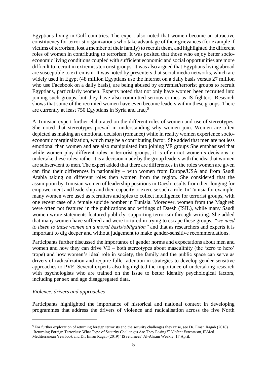Egyptians living in Gulf countries. The expert also noted that women become an attractive constituency for terrorist organizations who take advantage of their grievances (for example if victims of terrorism, lost a member of their family) to recruit them, and highlighted the different roles of women in contributing to terrorism. It was posited that those who enjoy better socioeconomic living conditions coupled with sufficient economic and social opportunities are more difficult to recruit in extremist/terrorist groups. It was also argued that Egyptians living abroad are susceptible to extremism. It was noted by presenters that social media networks, which are widely used in Egypt (48 million Egyptians use the internet on a daily basis versus 27 million who use Facebook on a daily basis), are being abused by extremist/terrorist groups to recruit Egyptians, particularly women. Experts noted that not only have women been recruited into joining such groups, but they have also committed serious crimes as IS fighters. Research shows that some of the recruited women have even become leaders within these groups. There are currently at least 750 Egyptians in Syria and Iraq.<sup>5</sup>

A Tunisian expert further elaborated on the different roles of women and use of stereotypes. She noted that stereotypes prevail in understanding why women join. Women are often depicted as making an emotional decision (romance) while in reality women experience socioeconomic marginalization, which may be a contributing factor. She added that men are not less emotional than women and are also manipulated into joining VE groups She emphasised that while women play different roles in terrorist groups, it is often not women's decisions to undertake these roles; rather it is a decision made by the group leaders with the idea that women are subservient to men. The expert added that there are differences in the roles women are given can find their differences in nationality – with women from Europe/USA and from Saudi Arabia taking on different roles then women from the region. She considered that the assumption by Tunisian women of leadership positions in Daesh results from their longing for empowerment and leadership and their capacity to exercise such a role. In Tunisia for example, many women were used as recruiters and spies to collect intelligence for terrorist groups, with one recent case of a female suicide bomber in Tunisia. Moreover, women from the Maghreb were often not featured in the publications and writings of Daesh (ISIL), while many Saudi women wrote statements featured publicly, supporting terrorism through writing. She added that many women have suffered and were tortured in trying to escape these groups, *"we need to listen to these women on a moral basis/obligation"* and that as researchers and experts it is important to dig deeper and without judgement to make gender-sensitive recommendations.

Participants further discussed the importance of gender norms and expectations about men and women and how they can drive VE – both stereotypes about masculinity (the 'zero to hero' trope) and how women's ideal role in society, the family and the public space can serve as drivers of radicalization and require fuller attention in strategies to develop gender-sensitive approaches to PVE. Several experts also highlighted the importance of undertaking research with psychologists who are trained on the issue to better identify psychological factors, including per sex and age disaggregated data.

#### *Violence, drivers and approaches*

1

Participants highlighted the importance of historical and national context in developing programmes that address the drivers of violence and radicalisation across the five North

<sup>5</sup> For further exploration of returning foreign terrorists and the security challenges they raise, see Dr. Eman Ragab (2018) 'Returning Foreign Terrorists: What Type of Security Challenges Are They Posing?" *Violent Extremism*, IEMed. Mediterranean Yearbook and Dr. Eman Ragab (2019) 'IS returnees' Al-Ahram Weekly, 17 April.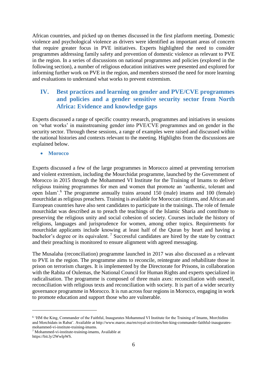African countries, and picked up on themes discussed in the first platform meeting. Domestic violence and psychological violence as drivers were identified as important areas of concern that require greater focus in PVE initiatives. Experts highlighted the need to consider programmes addressing family safety and prevention of domestic violence as relevant to PVE in the region. In a series of discussions on national programmes and policies (explored in the following section), a number of religious education initiatives were presented and explored for informing further work on PVE in the region, and members stressed the need for more learning and evaluations to understand what works to prevent extremism.

# **IV. Best practices and learning on gender and PVE/CVE programmes and policies and a gender sensitive security sector from North Africa: Evidence and knowledge gaps**

Experts discussed a range of specific country research, programmes and initiatives in sessions on 'what works' in mainstreaming gender into PVE/CVE programmes and on gender in the security sector. Through these sessions, a range of examples were raised and discussed within the national histories and contexts relevant to the meeting. Highlights from the discussions are explained below.

• **Morocco** 

Experts discussed a few of the large programmes in Morocco aimed at preventing terrorism and violent extremism, including the Mourchidat programme, launched by the Government of Morocco in 2015 through the Mohammed VI Institute for the Training of Imams to deliver religious training programmes for men and women that promote an 'authentic, tolerant and open Islam'.<sup>6</sup> The programme annually trains around 150 (male) imams and 100 (female) mourchidat as religious preachers. Training is available for Moroccan citizens, and African and European countries have also sent candidates to participate in the trainings. The role of female mourchidat was described as to preach the teachings of the Islamic Sharia and contribute to preserving the religious unity and social cohesion of society. Courses include the history of religions, languages and jurisprudence for women, among other topics. Requirements for mourchidat applicants include knowing at least half of the Quran by heart and having a bachelor's degree or its equivalent.<sup>7</sup> Successful candidates are hired by the state by contract and their preaching is monitored to ensure alignment with agreed messaging.

The Musalaha (reconciliation) programme launched in 2017 was also discussed as a relevant to PVE in the region. The programme aims to reconcile, reintegrate and rehabilitate those in prison on terrorism charges. It is implemented by the Directorate for Prisons, in collaboration with the Rabita of Oulemas, the National Council for Human Rights and experts specialized in radicalisation. The programme is composed of three main axes: reconciliation with oneself, reconciliation with religious texts and reconciliation with society. It is part of a wider security governance programme in Morocco. It is run across four regions in Morocco, engaging in work to promote education and support those who are vulnerable.

<u>.</u>

<sup>&</sup>lt;sup>6</sup> 'HM the King, Commander of the Faithful, Inaugurates Mohammed VI Institute for the Training of Imams, Morchidins and Morchidats in Rabat'. Available at http://www.maroc.ma/en/royal-activities/hm-king-commander-faithful-inauguratesmohammed-vi-institute-training-imams.

<sup>7</sup> Mohammed-vi-institute-training-imams, Available at https://bit.ly/2WwlpWS.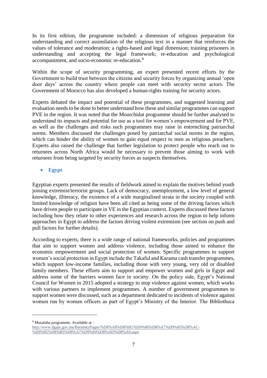In its first edition, the programme included: a dimension of religious preparation for understanding and correct assimilation of the religious text in a manner that reinforces the values of tolerance and moderation; a rights-based and legal dimension; training prisoners in understanding and accepting the legal framework; re-education and psychological accompaniment, and socio-economic re-education.<sup>8</sup>

Within the scope of security programming, an expert presented recent efforts by the Government to build trust between the citizens and security forces by organizing annual 'open door days' across the country where people can meet with security sector actors. The Government of Morocco has also developed a human-rights training for security actors.

Experts debated the impact and potential of these programmes, and suggested learning and evaluation needs to be done to better understand how these and similar programmes can support PVE in the region. It was noted that the Mourchidat programme should be further analysed to understand its impacts and potential for use as a tool for women's empowerment and for PVE, as well as the challenges and risks such programmes may raise in entrenching patriarchal norms. Members discussed the challenges posed by patriarchal social norms in the region, which can hinder the ability of women to gain equal respect to men as religious preachers. Experts also raised the challenge that further legislation to protect people who reach out to returnees across North Africa would be necessary to prevent those aiming to work with returnees from being targeted by security forces as suspects themselves.

## • **Egypt**

Egyptian experts presented the results of fieldwork aimed to explain the motives behind youth joining extremist/terrorist groups. Lack of democracy, unemployment, a low level of general knowledge, illiteracy, the existence of a wide marginalised strata in the society coupled with limited knowledge of religion have been all cited as being some of the driving factors which have driven people to participate in VE in the Egyptian context. Experts discussed these factors including how they relate to other experiences and research across the region to help inform approaches in Egypt to address the factors driving violent extremism (see section on push and pull factors for further details).

According to experts, there is a wide range of national frameworks, policies and programmes that aim to support women and address violence, including those aimed to enhance the economic empowerment and social protection of women. Specific programmes to support women's social protection in Egypt include the Takaful and Karama cash transfer programmes, which support low-income families, including those with very young, very old or disabled family members. These efforts aim to support and empower women and girls in Egypt and address some of the barriers women face in society. On the policy side, Egypt's National Council for Women in 2015 adopted a strategy to stop violence against women, which works with various partners to implement programmes. A number of government programmes to support women were discussed, such as a department dedicated to incidents of violence against women run by women officers as part of Egypt's Ministry of the Interior. The Bibliotheca

1

<sup>8</sup> Musalaha programme, Available at :

[http://www.dgapr.gov.ma/Baramej/Pages/%D8%A8%D8%B1%D9%86%D8%A7%D9%85%D8%AC-](http://www.dgapr.gov.ma/Baramej/Pages/%D8%A8%D8%B1%D9%86%D8%A7%D9%85%D8%AC-%D9%85%D8%B5%D8%A7%D9%84%D8%AD%D8%A9.aspx) [%D9%85%D8%B5%D8%A7%D9%84%D8%AD%D8%A9.aspx](http://www.dgapr.gov.ma/Baramej/Pages/%D8%A8%D8%B1%D9%86%D8%A7%D9%85%D8%AC-%D9%85%D8%B5%D8%A7%D9%84%D8%AD%D8%A9.aspx)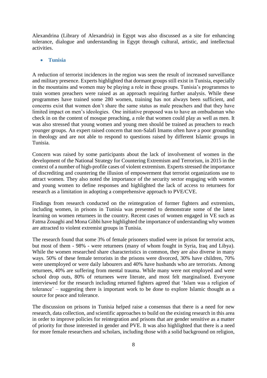Alexandrina (Library of Alexandria) in Egypt was also discussed as a site for enhancing tolerance, dialogue and understanding in Egypt through cultural, artistic, and intellectual activities.

#### • **Tunisia**

A reduction of terrorist incidences in the region was seen the result of increased surveillance and military presence. Experts highlighted that dormant groups still exist in Tunisia, especially in the mountains and women may be playing a role in these groups. Tunisia's programmes to train women preachers were raised as an approach requiring further analysis. While these programmes have trained some 280 women, training has not always been sufficient, and concerns exist that women don't share the same status as male preachers and that they have limited impact on men's ideologies. One initiative proposed was to have an ombudsman who check in on the content of mosque preaching, a role that women could play as well as men. It was also stressed that young women and young men should be trained as preachers to reach younger groups. An expert raised concern that non-Salafi Imams often have a poor grounding in theology and are not able to respond to questions raised by different Islamic groups in Tunisia.

Concern was raised by some participants about the lack of involvement of women in the development of the National Strategy for Countering Extremism and Terrorism, in 2015 in the context of a number of high-profile cases of violent extremism. Experts stressed the importance of discrediting and countering the illusion of empowerment that terrorist organizations use to attract women. They also noted the importance of the security sector engaging with women and young women to define responses and highlighted the lack of access to returnees for research as a limitation in adopting a comprehensive approach to PVE/CVE.

Findings from research conducted on the reintegration of former fighters and extremists, including women, in prisons in Tunisia was presented to demonstrate some of the latest learning on women returnees in the country. Recent cases of women engaged in VE such as Fatma Zouaghi and Mona Gibbi have highlighted the importance of understanding why women are attracted to violent extremist groups in Tunisia.

The research found that some 3% of female prisoners studied were in prison for terrorist acts, but most of them - 98% - were returnees (many of whom fought in Syria, Iraq and Libya). While the women researched share characteristics in common, they are also diverse in many ways. 50% of these female terrorists in the prisons were divorced, 30% have children, 70% were unemployed or were daily labourers and 40% have husbands who are terrorists. Among returnees, 40% are suffering from mental trauma. While many were not employed and were school drop outs, 80% of returnees were literate, and most felt marginalised. Everyone interviewed for the research including returned fighters agreed that 'Islam was a religion of tolerance' – suggesting there is important work to be done to explore Islamic thought as a source for peace and tolerance.

The discussion on prisons in Tunisia helped raise a consensus that there is a need for new research, data collection, and scientific approaches to build on the existing research in this area in order to improve policies for reintegration and prisons that are gender sensitive as a matter of priority for those interested in gender and PVE. It was also highlighted that there is a need for more female researchers and scholars, including those with a solid background on religion,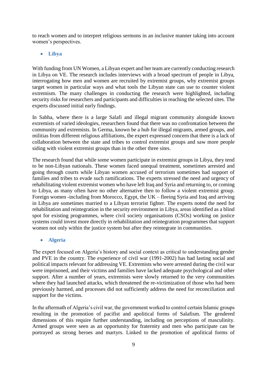to reach women and to interpret religious sermons in an inclusive manner taking into account women's perspectives.

#### • **Libya**

With funding from UN Women, a Libyan expert and her team are currently conducting research in Libya on VE. The research includes interviews with a broad spectrum of people in Libya, interrogating how men and women are recruited by extremist groups, why extremist groups target women in particular ways and what tools the Libyan state can use to counter violent extremism. The many challenges in conducting the research were highlighted, including security risks for researchers and participants and difficulties in reaching the selected sites. The experts discussed initial early findings.

In Sabha, where there is a large Salafi and illegal migrant community alongside known extremists of varied ideologies, researchers found that there was no confrontation between the community and extremists. In Germa, known be a hub for illegal migrants, armed groups, and militias from different religious affiliations, the expert expressed concern that there is a lack of collaboration between the state and tribes to control extremist groups and saw more people siding with violent extremist groups than in the other three sites.

The research found that while some women participate in extremist groups in Libya, they tend to be non-Libyan nationals. These women faced unequal treatment, sometimes arrested and going through courts while Libyan women accused of terrorism sometimes had support of families and tribes to evade such ramifications. The experts stressed the need and urgency of rehabilitating violent extremist women who have left Iraq and Syria and returning to, or coming to Libya, as many often have no other alternative then to follow a violent extremist group. Foreign women -including from Morocco, Egypt, the UK – fleeing Syria and Iraq and arriving in Libya are sometimes married to a Libyan terrorist fighter. The experts noted the need for rehabilitation and reintegration in the security environment in Libya, areas identified as a blind spot for existing programmes, where civil society organisations (CSOs) working on justice systems could invest more directly in rehabilitation and reintegration programmes that support women not only within the justice system but after they reintegrate in communities.

#### • **Algeria**

The expert focused on Algeria's history and social context as critical to understanding gender and PVE in the country. The experience of civil war (1991-2002) has had lasting social and political impacts relevant for addressing VE. Extremists who were arrested during the civil war were imprisoned, and their victims and families have lacked adequate psychological and other support. After a number of years, extremists were slowly returned to the very communities where they had launched attacks, which threatened the re-victimization of those who had been previously harmed, and processes did not sufficiently address the need for reconciliation and support for the victims.

In the aftermath of Algeria's civil war, the government worked to control certain Islamic groups resulting in the promotion of pacifist and apolitical forms of Salafism. The gendered dimensions of this require further understanding, including on perceptions of masculinity. Armed groups were seen as an opportunity for fraternity and men who participate can be portrayed as strong heroes and martyrs. Linked to the promotion of apolitical forms of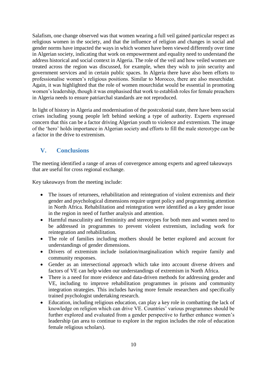Salafism, one change observed was that women wearing a full veil gained particular respect as religious women in the society, and that the influence of religion and changes in social and gender norms have impacted the ways in which women have been viewed differently over time in Algerian society, indicating that work on empowerment and equality need to understand the address historical and social context in Algeria. The role of the veil and how veiled women are treated across the region was discussed, for example, when they wish to join security and government services and in certain public spaces. In Algeria there have also been efforts to professionalise women's religious positions. Similar to Morocco, there are also mourchidat. Again, it was highlighted that the role of women mourchidat would be essential in promoting women's leadership, though it was emphasised that work to establish roles for female preachers in Algeria needs to ensure patriarchal standards are not reproduced.

In light of history in Algeria and modernisation of the postcolonial state, there have been social crises including young people left behind seeking a type of authority. Experts expressed concern that this can be a factor driving Algerian youth to violence and extremism. The image of the 'hero' holds importance in Algerian society and efforts to fill the male stereotype can be a factor in the drive to extremism.

# **V. Conclusions**

The meeting identified a range of areas of convergence among experts and agreed takeaways that are useful for cross regional exchange.

Key takeaways from the meeting include:

- The issues of returnees, rehabilitation and reintegration of violent extremists and their gender and psychological dimensions require urgent policy and programming attention in North Africa. Rehabilitation and reintegration were identified as a key gender issue in the region in need of further analysis and attention.
- Harmful masculinity and femininity and stereotypes for both men and women need to be addressed in programmes to prevent violent extremism, including work for reintegration and rehabilitation.
- The role of families including mothers should be better explored and account for understandings of gender dimensions.
- Drivers of extremism include isolation/marginalization which require family and community responses.
- Gender as an intersectional approach which take into account diverse drivers and factors of VE can help widen our understandings of extremism in North Africa.
- There is a need for more evidence and data-driven methods for addressing gender and VE, including to improve rehabilitation programmes in prisons and community integration strategies. This includes having more female researchers and specifically trained psychologist undertaking research.
- Education, including religious education, can play a key role in combatting the lack of knowledge on religion which can drive VE. Countries' various programmes should be further explored and evaluated from a gender perspective to further enhance women's leadership (an area to continue to explore in the region includes the role of education female religious scholars).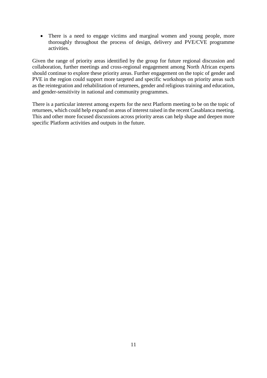• There is a need to engage victims and marginal women and young people, more thoroughly throughout the process of design, delivery and PVE/CVE programme activities.

Given the range of priority areas identified by the group for future regional discussion and collaboration, further meetings and cross-regional engagement among North African experts should continue to explore these priority areas. Further engagement on the topic of gender and PVE in the region could support more targeted and specific workshops on priority areas such as the reintegration and rehabilitation of returnees, gender and religious training and education, and gender-sensitivity in national and community programmes.

There is a particular interest among experts for the next Platform meeting to be on the topic of returnees, which could help expand on areas of interest raised in the recent Casablanca meeting. This and other more focused discussions across priority areas can help shape and deepen more specific Platform activities and outputs in the future.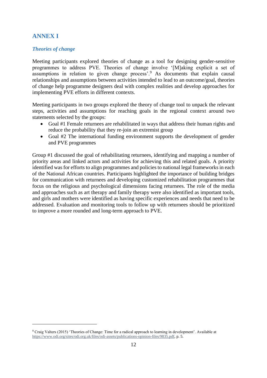# **ANNEX I**

1

## *Theories of change*

Meeting participants explored theories of change as a tool for designing gender-sensitive programmes to address PVE. Theories of change involve '[M]aking explicit a set of assumptions in relation to given change process'.<sup>9</sup> As documents that explain causal relationships and assumptions between activities intended to lead to an outcome/goal, theories of change help programme designers deal with complex realities and develop approaches for implementing PVE efforts in different contexts.

Meeting participants in two groups explored the theory of change tool to unpack the relevant steps, activities and assumptions for reaching goals in the regional context around two statements selected by the groups:

- Goal #1 Female returnees are rehabilitated in ways that address their human rights and reduce the probability that they re-join an extremist group
- Goal #2 The international funding environment supports the development of gender and PVE programmes

Group #1 discussed the goal of rehabilitating returnees, identifying and mapping a number of priority areas and linked actors and activities for achieving this and related goals. A priority identified was for efforts to align programmes and policies to national legal frameworks in each of the National African countries. Participants highlighted the importance of building bridges for communication with returnees and developing customized rehabilitation programmes that focus on the religious and psychological dimensions facing returnees. The role of the media and approaches such as art therapy and family therapy were also identified as important tools, and girls and mothers were identified as having specific experiences and needs that need to be addressed. Evaluation and monitoring tools to follow up with returnees should be prioritized to improve a more rounded and long-term approach to PVE.

<sup>9</sup> Craig Valters (2015) 'Theories of Change: Time for a radical approach to learning in development'. Available at [https://www.odi.org/sites/odi.org.uk/files/odi-assets/publications-opinion-files/9835.pdf,](https://www.odi.org/sites/odi.org.uk/files/odi-assets/publications-opinion-files/9835.pdf) p. 5.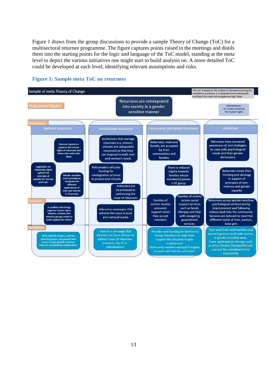Figure 1 draws from the group discussions to provide a sample Theory of Change (ToC) for a multisectoral returnee programme. The figure captures points raised in the meetings and distils them into the starting points for the logic and language of the ToC model, standing at the meta level to depict the various initiatives one might start to build analysis on. A more detailed ToC could be developed at each level, identifying relevant assumptions and risks.



## **Figure 1: Sample meta ToC on returnees**